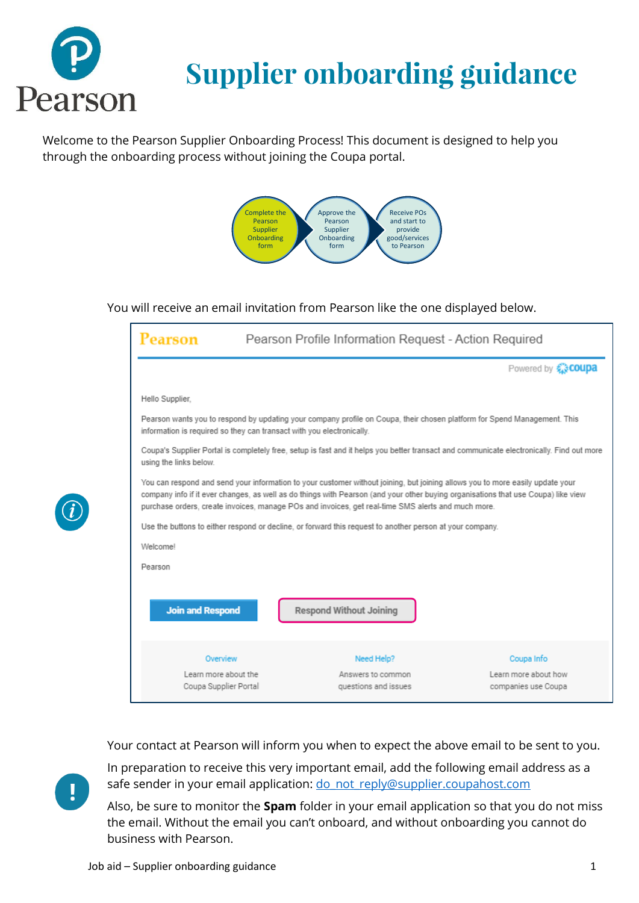

# **Supplier onboarding guidance**

Welcome to the Pearson Supplier Onboarding Process! This document is designed to help you through the onboarding process without joining the Coupa portal.



#### You will receive an email invitation from Pearson like the one displayed below.

| Pearson                                                                                                                                                                                                                                                                                                                                                                  | Pearson Profile Information Request - Action Required                                                                                                                                             |                                             |  |  |  |  |
|--------------------------------------------------------------------------------------------------------------------------------------------------------------------------------------------------------------------------------------------------------------------------------------------------------------------------------------------------------------------------|---------------------------------------------------------------------------------------------------------------------------------------------------------------------------------------------------|---------------------------------------------|--|--|--|--|
|                                                                                                                                                                                                                                                                                                                                                                          |                                                                                                                                                                                                   | Powered by <b>COUPA</b>                     |  |  |  |  |
| Hello Supplier.                                                                                                                                                                                                                                                                                                                                                          |                                                                                                                                                                                                   |                                             |  |  |  |  |
|                                                                                                                                                                                                                                                                                                                                                                          | Pearson wants you to respond by updating your company profile on Coupa, their chosen platform for Spend Management. This<br>information is required so they can transact with you electronically. |                                             |  |  |  |  |
| Coupa's Supplier Portal is completely free, setup is fast and it helps you better transact and communicate electronically. Find out more<br>using the links below.                                                                                                                                                                                                       |                                                                                                                                                                                                   |                                             |  |  |  |  |
| You can respond and send your information to your customer without joining, but joining allows you to more easily update your<br>company info if it ever changes, as well as do things with Pearson (and your other buying organisations that use Coupa) like view<br>purchase orders, create invoices, manage POs and invoices, get real-time SMS alerts and much more. |                                                                                                                                                                                                   |                                             |  |  |  |  |
|                                                                                                                                                                                                                                                                                                                                                                          | Use the buttons to either respond or decline, or forward this request to another person at your company.                                                                                          |                                             |  |  |  |  |
| Welcome!                                                                                                                                                                                                                                                                                                                                                                 |                                                                                                                                                                                                   |                                             |  |  |  |  |
| Pearson                                                                                                                                                                                                                                                                                                                                                                  |                                                                                                                                                                                                   |                                             |  |  |  |  |
| <b>Join and Respond</b>                                                                                                                                                                                                                                                                                                                                                  | <b>Respond Without Joining</b>                                                                                                                                                                    |                                             |  |  |  |  |
| Overview                                                                                                                                                                                                                                                                                                                                                                 | Need Help?                                                                                                                                                                                        | Coupa Info                                  |  |  |  |  |
| Learn more about the<br>Coupa Supplier Portal                                                                                                                                                                                                                                                                                                                            | Answers to common<br>questions and issues                                                                                                                                                         | Learn more about how<br>companies use Coupa |  |  |  |  |

Your contact at Pearson will inform you when to expect the above email to be sent to you.



In preparation to receive this very important email, add the following email address as a safe sender in your email application: [do\\_not\\_reply@supplier.coupahost.com](mailto:do_not_reply@supplier.coupahost.com)

Also, be sure to monitor the **Spam** folder in your email application so that you do not miss the email. Without the email you can't onboard, and without onboarding you cannot do business with Pearson.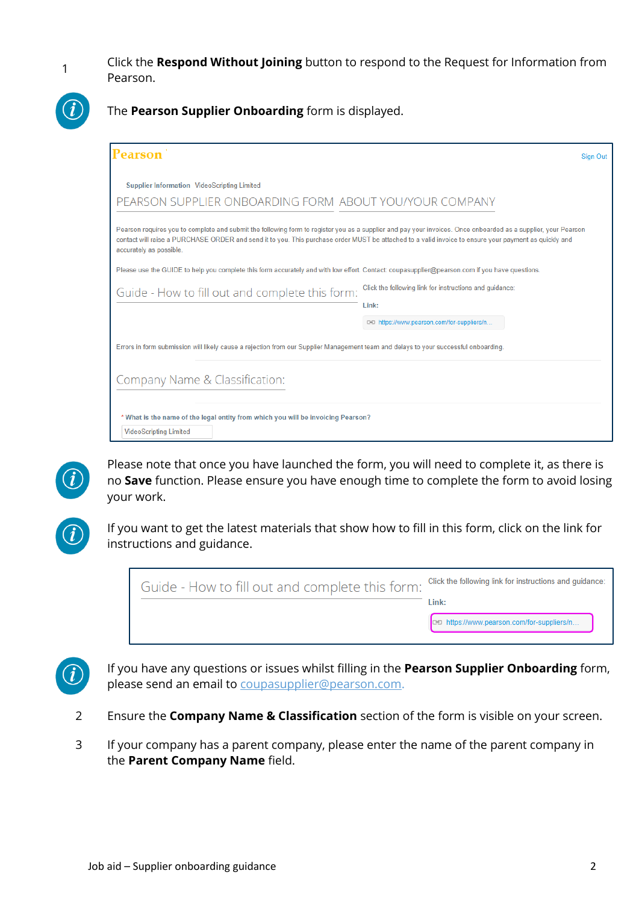1

Click the **Respond Without Joining** button to respond to the Request for Information from Pearson.



The **Pearson Supplier Onboarding** form is displayed.

| Pearson                                                                                                                                                                                                                                                                                                                                            | Sign Out                                                |
|----------------------------------------------------------------------------------------------------------------------------------------------------------------------------------------------------------------------------------------------------------------------------------------------------------------------------------------------------|---------------------------------------------------------|
| <b>Supplier Information VideoScripting Limited</b>                                                                                                                                                                                                                                                                                                 |                                                         |
| PEARSON SUPPLIER ONBOARDING FORM ABOUT YOU/YOUR COMPANY                                                                                                                                                                                                                                                                                            |                                                         |
| Pearson requires you to complete and submit the following form to register you as a supplier and pay your invoices. Once onboarded as a supplier, your Pearson<br>contact will raise a PURCHASE ORDER and send it to you. This purchase order MUST be attached to a valid invoice to ensure your payment as quickly and<br>accurately as possible. |                                                         |
| Please use the GUIDE to help you complete this form accurately and with low effort. Contact: coupasupplier@pearson.com if you have questions.                                                                                                                                                                                                      |                                                         |
| Guide - How to fill out and complete this form:                                                                                                                                                                                                                                                                                                    | Click the following link for instructions and guidance: |
|                                                                                                                                                                                                                                                                                                                                                    | Link:                                                   |
|                                                                                                                                                                                                                                                                                                                                                    | c-a https://www.pearson.com/for-suppliers/n             |
| Errors in form submission will likely cause a rejection from our Supplier Management team and delays to your successful onboarding.                                                                                                                                                                                                                |                                                         |
| Company Name & Classification:                                                                                                                                                                                                                                                                                                                     |                                                         |
|                                                                                                                                                                                                                                                                                                                                                    |                                                         |
| * What is the name of the legal entity from which you will be invoicing Pearson?                                                                                                                                                                                                                                                                   |                                                         |
| <b>VideoScripting Limited</b>                                                                                                                                                                                                                                                                                                                      |                                                         |



Please note that once you have launched the form, you will need to complete it, as there is no **Save** function. Please ensure you have enough time to complete the form to avoid losing your work.



If you want to get the latest materials that show how to fill in this form, click on the link for instructions and guidance.

| Guide - How to fill out and complete this form: Click the following link for instructions and guidance: |                                         |
|---------------------------------------------------------------------------------------------------------|-----------------------------------------|
|                                                                                                         | l ink:                                  |
|                                                                                                         | https://www.pearson.com/for-suppliers/n |
|                                                                                                         |                                         |



If you have any questions or issues whilst filling in the **Pearson Supplier Onboarding** form, please send an email to [coupasupplier@pearson.com.](file:///C:/Users/VNATHDE/Downloads/coupasupplier@pearson.com)

- 2 Ensure the **Company Name & Classification** section of the form is visible on your screen.
- 3 If your company has a parent company, please enter the name of the parent company in the **Parent Company Name** field.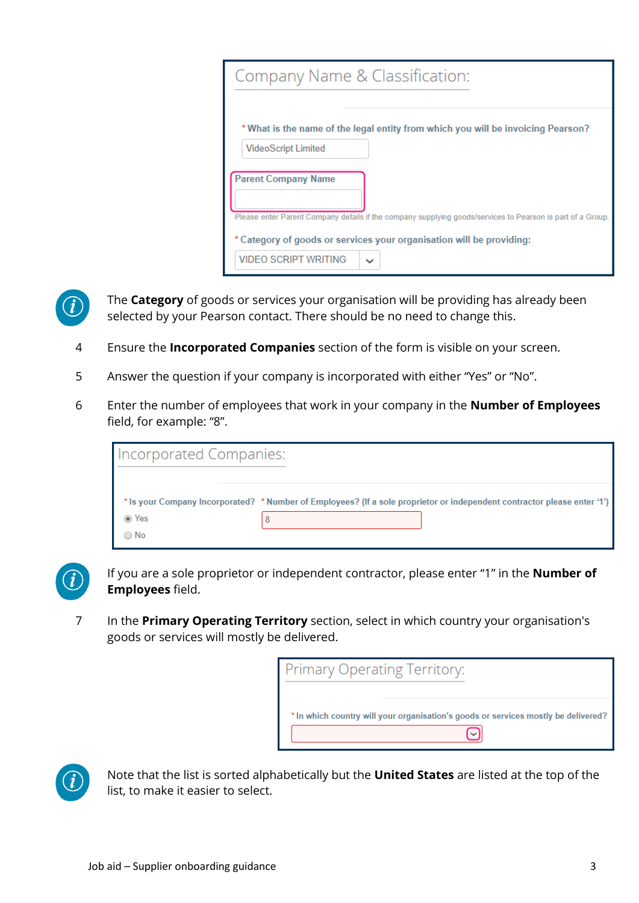| Company Name & Classification:                                                                             |  |  |
|------------------------------------------------------------------------------------------------------------|--|--|
| * What is the name of the legal entity from which you will be invoicing Pearson?                           |  |  |
| <b>VideoScript Limited</b>                                                                                 |  |  |
| <b>Parent Company Name</b>                                                                                 |  |  |
| Please enter Parent Company details if the company supplying goods/services to Pearson is part of a Group. |  |  |
| * Category of goods or services your organisation will be providing:                                       |  |  |
| <b>VIDEO SCRIPT WRITING</b><br>$\checkmark$                                                                |  |  |



The **Category** of goods or services your organisation will be providing has already been selected by your Pearson contact. There should be no need to change this.

- 4 Ensure the **Incorporated Companies** section of the form is visible on your screen.
- 5 Answer the question if your company is incorporated with either "Yes" or "No".
- 6 Enter the number of employees that work in your company in the **Number of Employees** field, for example: "8".

| <b>Incorporated Companies:</b> |                                                                                                                          |
|--------------------------------|--------------------------------------------------------------------------------------------------------------------------|
|                                | * Is your Company Incorporated? * Number of Employees? (If a sole proprietor or independent contractor please enter '1') |
|                                |                                                                                                                          |
| ◉ Yes                          |                                                                                                                          |



If you are a sole proprietor or independent contractor, please enter "1" in the **Number of Employees** field.

7 In the **Primary Operating Territory** section, select in which country your organisation's goods or services will mostly be delivered.

| Primary Operating Territory:                                                       |
|------------------------------------------------------------------------------------|
|                                                                                    |
| * In which country will your organisation's goods or services mostly be delivered? |
|                                                                                    |



Note that the list is sorted alphabetically but the **United States** are listed at the top of the list, to make it easier to select.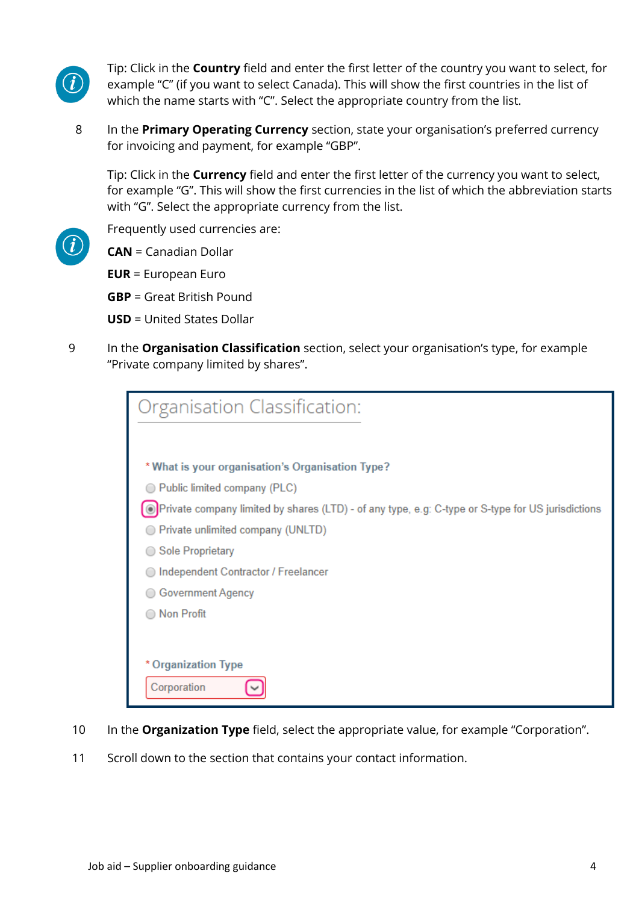

Tip: Click in the **Country** field and enter the first letter of the country you want to select, for example "C" (if you want to select Canada). This will show the first countries in the list of which the name starts with "C". Select the appropriate country from the list.

8 In the **Primary Operating Currency** section, state your organisation's preferred currency for invoicing and payment, for example "GBP".

Tip: Click in the **Currency** field and enter the first letter of the currency you want to select, for example "G". This will show the first currencies in the list of which the abbreviation starts with "G". Select the appropriate currency from the list.

Frequently used currencies are:

**CAN** = Canadian Dollar

**EUR** = European Euro

**GBP** = Great British Pound

**USD** = United States Dollar

9 In the **Organisation Classification** section, select your organisation's type, for example "Private company limited by shares".

| Organisation Classification:                                                                      |
|---------------------------------------------------------------------------------------------------|
|                                                                                                   |
|                                                                                                   |
| * What is your organisation's Organisation Type?                                                  |
| Public limited company (PLC)                                                                      |
| Private company limited by shares (LTD) - of any type, e.g: C-type or S-type for US jurisdictions |
| ◯ Private unlimited company (UNLTD)                                                               |
| Sole Proprietary<br>$\bigcirc$                                                                    |
| Independent Contractor / Freelancer                                                               |
| Government Agency                                                                                 |
| <b>Non Profit</b>                                                                                 |
|                                                                                                   |
| * Organization Type                                                                               |
|                                                                                                   |
| Corporation                                                                                       |

- 10 In the **Organization Type** field, select the appropriate value, for example "Corporation".
- 11 Scroll down to the section that contains your contact information.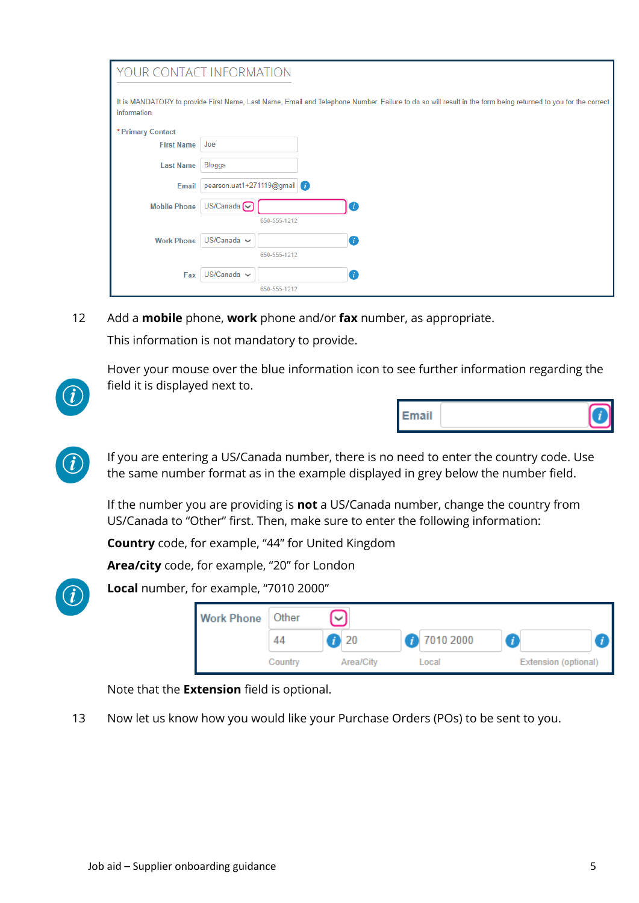|                     | YOUR CONTACT INFORMATION                                                                                                                                     |
|---------------------|--------------------------------------------------------------------------------------------------------------------------------------------------------------|
| information.        | It is MANDATORY to provide First Name, Last Name, Email and Telephone Number. Failure to do so will result in the form being returned to you for the correct |
| * Primary Contact   |                                                                                                                                                              |
| <b>First Name</b>   | Joe                                                                                                                                                          |
| <b>Last Name</b>    | <b>Bloggs</b>                                                                                                                                                |
| <b>Email</b>        | pearson.uat1+271119@gmail                                                                                                                                    |
| <b>Mobile Phone</b> | US/Canada $\sim$                                                                                                                                             |
|                     | 650-555-1212                                                                                                                                                 |
| <b>Work Phone</b>   | $US/Canada \sim$<br>o                                                                                                                                        |
|                     | 650-555-1212                                                                                                                                                 |
| Fax                 | $US/Canada \sim$<br>a                                                                                                                                        |
|                     | 650-555-1212                                                                                                                                                 |

12 Add a **mobile** phone, **work** phone and/or **fax** number, as appropriate.

This information is not mandatory to provide.

Hover your mouse over the blue information icon to see further information regarding the field it is displayed next to.





If you are entering a US/Canada number, there is no need to enter the country code. Use the same number format as in the example displayed in grey below the number field.

If the number you are providing is **not** a US/Canada number, change the country from US/Canada to "Other" first. Then, make sure to enter the following information:

**Country** code, for example, "44" for United Kingdom

**Area/city** code, for example, "20" for London



**Local** number, for example, "7010 2000"

| <b>Work Phone</b> | Other   |           |           |              |                      |  |
|-------------------|---------|-----------|-----------|--------------|----------------------|--|
|                   |         | 7)20      | 7010 2000 | $\mathbf{r}$ |                      |  |
|                   | Country | Area/City | Local     |              | Extension (optional) |  |

Note that the **Extension** field is optional.

13 Now let us know how you would like your Purchase Orders (POs) to be sent to you.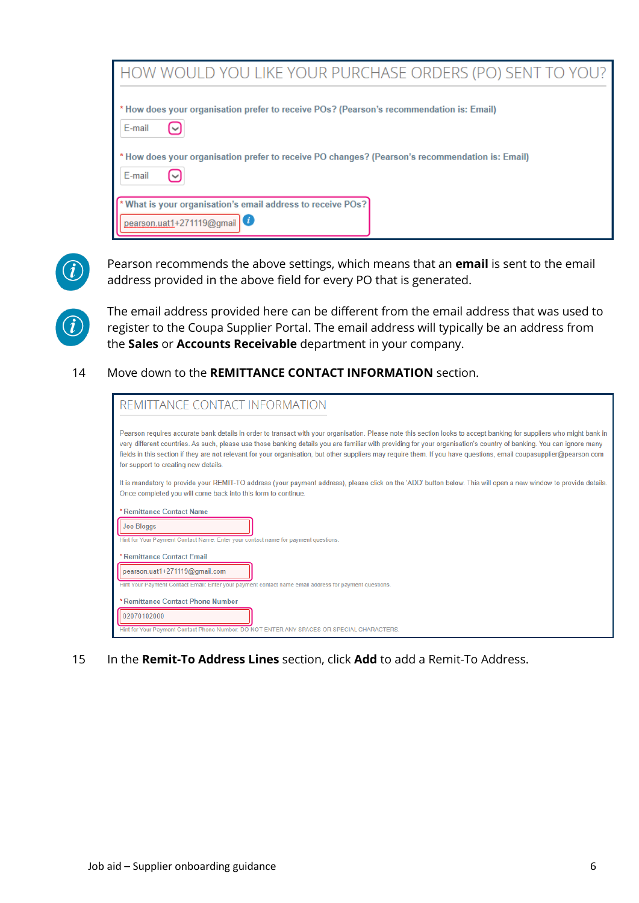| HOW WOULD YOU LIKE YOUR PURCHASE ORDERS (PO) SENT TO YOU?                                                 |
|-----------------------------------------------------------------------------------------------------------|
| * How does your organisation prefer to receive POs? (Pearson's recommendation is: Email)<br>E-mail        |
| * How does your organisation prefer to receive PO changes? (Pearson's recommendation is: Email)<br>E-mail |
| * What is your organisation's email address to receive POs?<br>pearson.uat1+271119@gmail                  |



Pearson recommends the above settings, which means that an **email** is sent to the email address provided in the above field for every PO that is generated.



The email address provided here can be different from the email address that was used to register to the Coupa Supplier Portal. The email address will typically be an address from the **Sales** or **Accounts Receivable** department in your company.

14 Move down to the **REMITTANCE CONTACT INFORMATION** section.

| REMITTANCE CONTACT INFORMATION                                                                                                                                                                                                                                                                                                                                                                                                                                                                                                                             |
|------------------------------------------------------------------------------------------------------------------------------------------------------------------------------------------------------------------------------------------------------------------------------------------------------------------------------------------------------------------------------------------------------------------------------------------------------------------------------------------------------------------------------------------------------------|
| Pearson requires accurate bank details in order to transact with your organisation. Please note this section looks to accept banking for suppliers who might bank in<br>very different countries. As such, please use those banking details you are familiar with providing for your organisation's country of banking. You can ignore many<br>fields in this section if they are not relevant for your organisation, but other suppliers may require them. If you have questions, email coupasupplier@pearson.com<br>for support to creating new details. |
| It is mandatory to provide your REMIT-TO address (your payment address), please click on the 'ADD' button below. This will open a new window to provide details.<br>Once completed you will come back into this form to continue.                                                                                                                                                                                                                                                                                                                          |
| * Remittance Contact Name<br>Joe Bloggs<br>Hint for Your Payment Contact Name: Enter your contact name for payment questions.                                                                                                                                                                                                                                                                                                                                                                                                                              |
| * Remittance Contact Email<br>pearson.uat1+271119@gmail.com<br>Hint Your Payment Contact Email: Enter your payment contact name email address for payment questions.                                                                                                                                                                                                                                                                                                                                                                                       |
| * Remittance Contact Phone Number<br>02070102000<br>Hint for Your Payment Contact Phone Number: DO NOT ENTER ANY SPACES OR SPECIAL CHARACTERS.                                                                                                                                                                                                                                                                                                                                                                                                             |

15 In the **Remit-To Address Lines** section, click **Add** to add a Remit-To Address.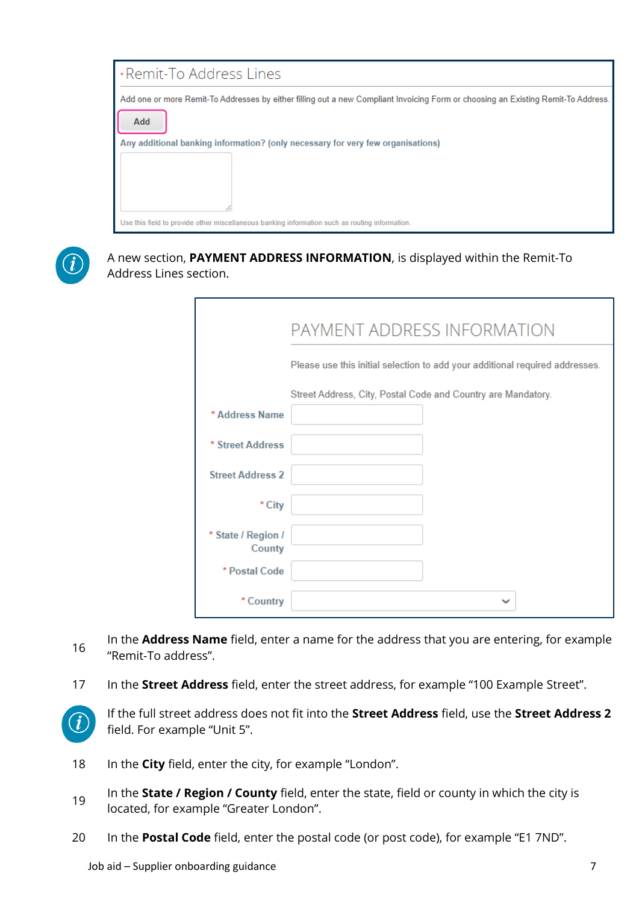



A new section, **PAYMENT ADDRESS INFORMATION**, is displayed within the Remit-To Address Lines section.

|                              | PAYMENT ADDRESS INFORMATION                                                  |  |  |  |  |
|------------------------------|------------------------------------------------------------------------------|--|--|--|--|
|                              | Please use this initial selection to add your additional required addresses. |  |  |  |  |
|                              | Street Address, City, Postal Code and Country are Mandatory.                 |  |  |  |  |
| * Address Name               |                                                                              |  |  |  |  |
| * Street Address             |                                                                              |  |  |  |  |
| <b>Street Address 2</b>      |                                                                              |  |  |  |  |
| * City                       |                                                                              |  |  |  |  |
| * State / Region /<br>County |                                                                              |  |  |  |  |
| * Postal Code                |                                                                              |  |  |  |  |
| * Country                    | $\checkmark$                                                                 |  |  |  |  |

- 16 In the **Address Name** field, enter a name for the address that you are entering, for example "Remit-To address".
- 17 In the **Street Address** field, enter the street address, for example "100 Example Street".



If the full street address does not fit into the **Street Address** field, use the **Street Address 2** field. For example "Unit 5".

- 18 In the **City** field, enter the city, for example "London".
- 19 In the **State / Region / County** field, enter the state, field or county in which the city is located, for example "Greater London".
- 20 In the **Postal Code** field, enter the postal code (or post code), for example "E1 7ND".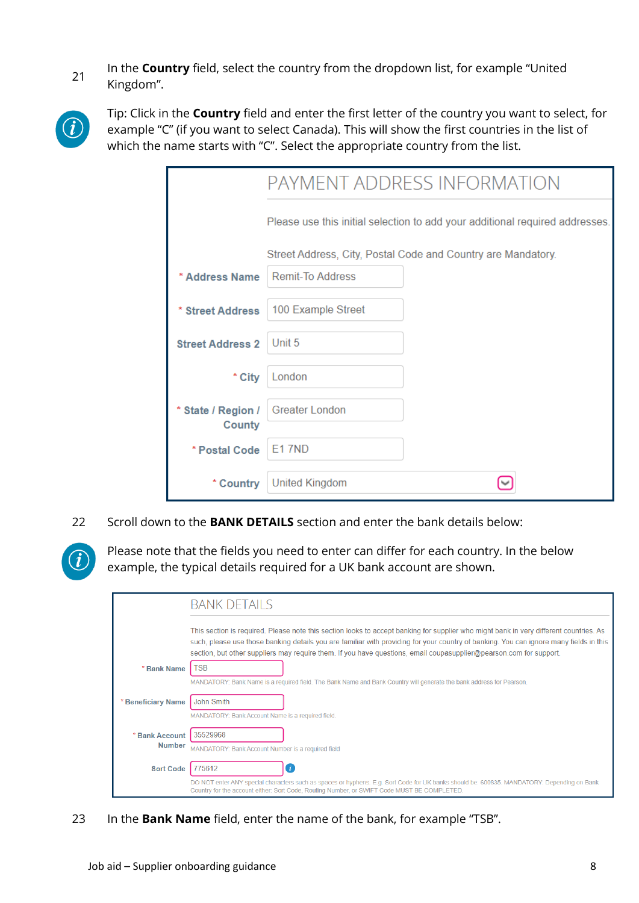21 In the **Country** field, select the country from the dropdown list, for example "United" Kingdom".



Tip: Click in the **Country** field and enter the first letter of the country you want to select, for example "C" (if you want to select Canada). This will show the first countries in the list of which the name starts with "C". Select the appropriate country from the list.

|                              | PAYMENT ADDRESS INFORMATION                                                  |  |
|------------------------------|------------------------------------------------------------------------------|--|
|                              | Please use this initial selection to add your additional required addresses. |  |
|                              | Street Address, City, Postal Code and Country are Mandatory.                 |  |
| * Address Name               | <b>Remit-To Address</b>                                                      |  |
| * Street Address             | 100 Example Street                                                           |  |
| <b>Street Address 2</b>      | Unit 5                                                                       |  |
| * City                       | London                                                                       |  |
| * State / Region /<br>County | <b>Greater London</b>                                                        |  |
| * Postal Code                | <b>F17ND</b>                                                                 |  |
| * Country                    | <b>United Kingdom</b>                                                        |  |

22 Scroll down to the **BANK DETAILS** section and enter the bank details below:

Please note that the fields you need to enter can differ for each country. In the below example, the typical details required for a UK bank account are shown.

|                                 | <b>BANK DETAILS</b>                                                                                                                                                                                                                                                                                                                                                                                    |
|---------------------------------|--------------------------------------------------------------------------------------------------------------------------------------------------------------------------------------------------------------------------------------------------------------------------------------------------------------------------------------------------------------------------------------------------------|
|                                 | This section is required. Please note this section looks to accept banking for supplier who might bank in very different countries. As<br>such, please use those banking details you are familiar with providing for your country of banking. You can ignore many fields in this<br>section, but other suppliers may require them. If you have questions, email coupasupplier@pearson.com for support. |
| * Bank Name                     | TSB                                                                                                                                                                                                                                                                                                                                                                                                    |
|                                 | MANDATORY: Bank Name is a required field. The Bank Name and Bank Country will generate the bank address for Pearson.                                                                                                                                                                                                                                                                                   |
| <b>Beneficiary Name</b>         | <b>John Smith</b>                                                                                                                                                                                                                                                                                                                                                                                      |
|                                 | MANDATORY: Bank Account Name is a required field.                                                                                                                                                                                                                                                                                                                                                      |
| * Bank Account<br><b>Number</b> | 35529968                                                                                                                                                                                                                                                                                                                                                                                               |
|                                 | MANDATORY: Bank Account Number is a required field                                                                                                                                                                                                                                                                                                                                                     |
| <b>Sort Code</b>                | 775612                                                                                                                                                                                                                                                                                                                                                                                                 |
|                                 | DO NOT enter ANY special characters such as spaces or hyphens. E.g. Sort Code for UK banks should be: 600835. MANDATORY: Depending on Bank<br>Country for the account either: Sort Code, Routing Number, or SWIFT Code MUST BE COMPLETED.                                                                                                                                                              |

23 In the **Bank Name** field, enter the name of the bank, for example "TSB".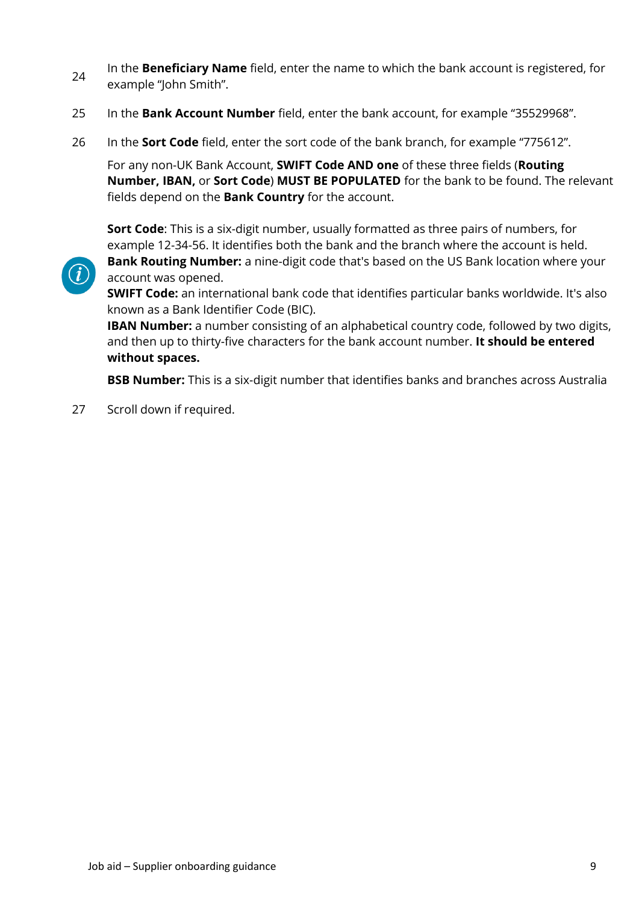- 24 In the **Beneficiary Name** field, enter the name to which the bank account is registered, for example "John Smith".
- 25 In the **Bank Account Number** field, enter the bank account, for example "35529968".
- 26 In the **Sort Code** field, enter the sort code of the bank branch, for example "775612".

For any non-UK Bank Account, **SWIFT Code AND one** of these three fields (**Routing Number, IBAN,** or **Sort Code**) **MUST BE POPULATED** for the bank to be found. The relevant fields depend on the **Bank Country** for the account.

**Sort Code**: This is a six-digit number, usually formatted as three pairs of numbers, for example 12-34-56. It identifies both the bank and the branch where the account is held.



**Bank Routing Number:** a nine-digit code that's based on the US Bank location where your account was opened.

**SWIFT Code:** an international bank code that identifies particular banks worldwide. It's also known as a Bank Identifier Code (BIC).

**IBAN Number:** a number consisting of an alphabetical country code, followed by two digits, and then up to thirty-five characters for the bank account number. **It should be entered without spaces.**

**BSB Number:** This is a six-digit number that identifies banks and branches across Australia

27 Scroll down if required.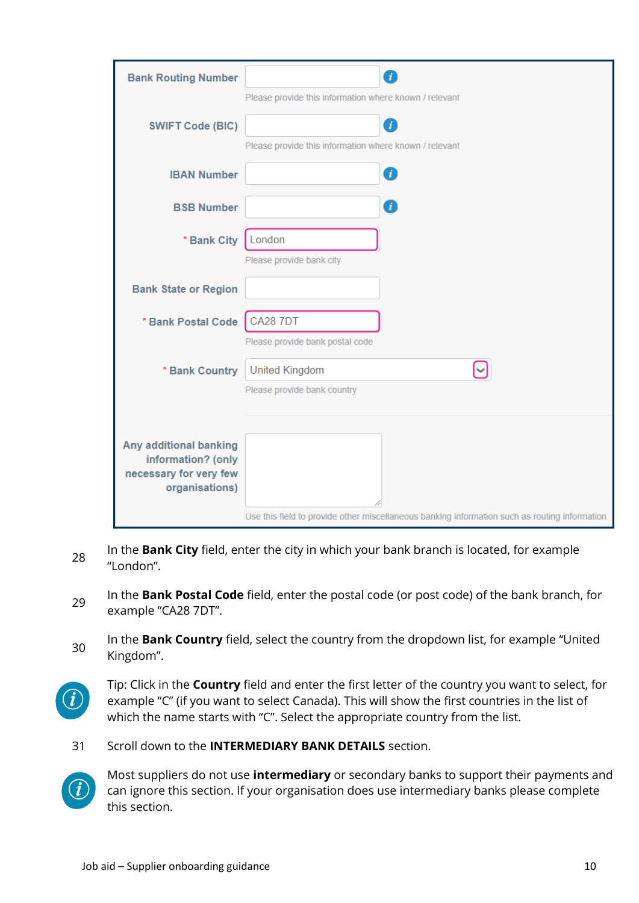| <b>Bank Routing Number</b>                   | 7                                                                                             |  |  |
|----------------------------------------------|-----------------------------------------------------------------------------------------------|--|--|
|                                              | Please provide this information where known / relevant                                        |  |  |
| <b>SWIFT Code (BIC)</b>                      | 7                                                                                             |  |  |
|                                              | Please provide this information where known / relevant                                        |  |  |
| <b>IBAN Number</b>                           | 0                                                                                             |  |  |
| <b>BSB Number</b>                            | $\mathcal{I}$                                                                                 |  |  |
|                                              |                                                                                               |  |  |
| * Bank City                                  | London<br>Please provide bank city                                                            |  |  |
| <b>Bank State or Region</b>                  |                                                                                               |  |  |
|                                              |                                                                                               |  |  |
| * Bank Postal Code                           | <b>CA28 7DT</b>                                                                               |  |  |
|                                              | Please provide bank postal code                                                               |  |  |
| * Bank Country                               | <b>United Kingdom</b>                                                                         |  |  |
|                                              | Please provide bank country                                                                   |  |  |
|                                              |                                                                                               |  |  |
| Any additional banking                       |                                                                                               |  |  |
| information? (only<br>necessary for very few |                                                                                               |  |  |
| organisations)                               |                                                                                               |  |  |
|                                              | Use this field to provide other miscellaneous banking information such as routing information |  |  |

- 28 In the **Bank City** field, enter the city in which your bank branch is located, for example "London".
- <sup>29</sup> In the **Bank Postal Code** field, enter the postal code (or post code) of the bank branch, for example "CA28 7DT".
- <sup>30</sup> In the **Bank Country** field, select the country from the dropdown list, for example "United Kingdom".
- $\boldsymbol{i}$

Tip: Click in the **Country** field and enter the first letter of the country you want to select, for example "C" (if you want to select Canada). This will show the first countries in the list of which the name starts with "C". Select the appropriate country from the list.

31 Scroll down to the **INTERMEDIARY BANK DETAILS** section.



Most suppliers do not use **intermediary** or secondary banks to support their payments and can ignore this section. If your organisation does use intermediary banks please complete this section.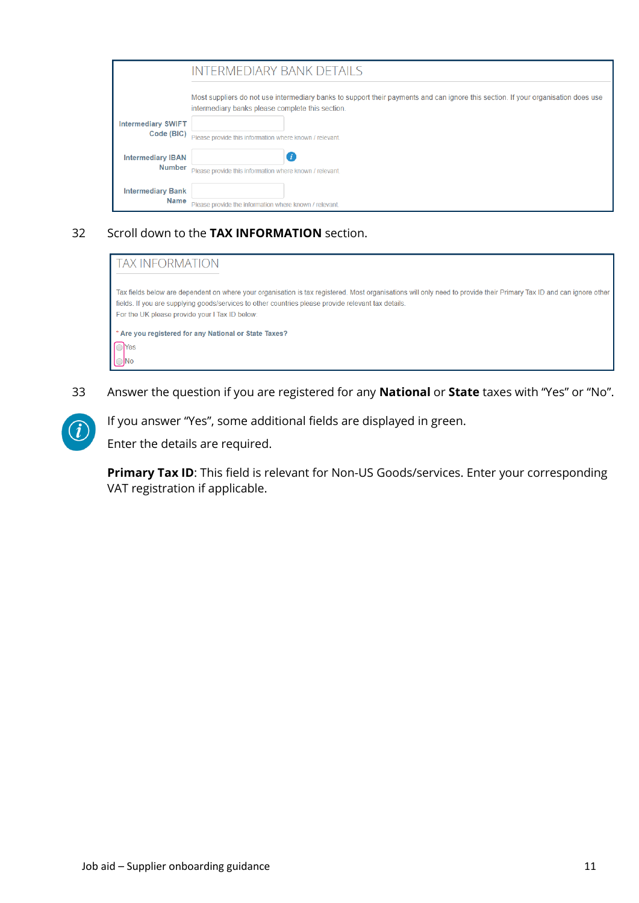|                                           | <b>INTERMEDIARY BANK DETAILS</b>                                                                                                                                                      |
|-------------------------------------------|---------------------------------------------------------------------------------------------------------------------------------------------------------------------------------------|
|                                           | Most suppliers do not use intermediary banks to support their payments and can ignore this section. If your organisation does use<br>intermediary banks please complete this section. |
| <b>Intermediary SWIFT</b><br>Code (BIC)   | Please provide this information where known / relevant.                                                                                                                               |
| <b>Intermediary IBAN</b><br><b>Number</b> | Please provide this information where known / relevant.                                                                                                                               |
| <b>Intermediary Bank</b><br><b>Name</b>   | Please provide the information where known / relevant.                                                                                                                                |

### 32 Scroll down to the **TAX INFORMATION** section.

| <b>TAX INFORMATION</b>                                                                                                                                                                                                                                                                                                       |
|------------------------------------------------------------------------------------------------------------------------------------------------------------------------------------------------------------------------------------------------------------------------------------------------------------------------------|
| Tax fields below are dependent on where your organisation is tax registered. Most organisations will only need to provide their Primary Tax ID and can ignore other<br>fields. If you are supplying goods/services to other countries please provide relevant tax details.<br>For the UK please provide your I Tax ID below: |
| * Are you registered for any National or State Taxes?<br>es No                                                                                                                                                                                                                                                               |

33 Answer the question if you are registered for any **National** or **State** taxes with "Yes" or "No".



If you answer "Yes", some additional fields are displayed in green.

Enter the details are required.

**Primary Tax ID**: This field is relevant for Non-US Goods/services. Enter your corresponding VAT registration if applicable.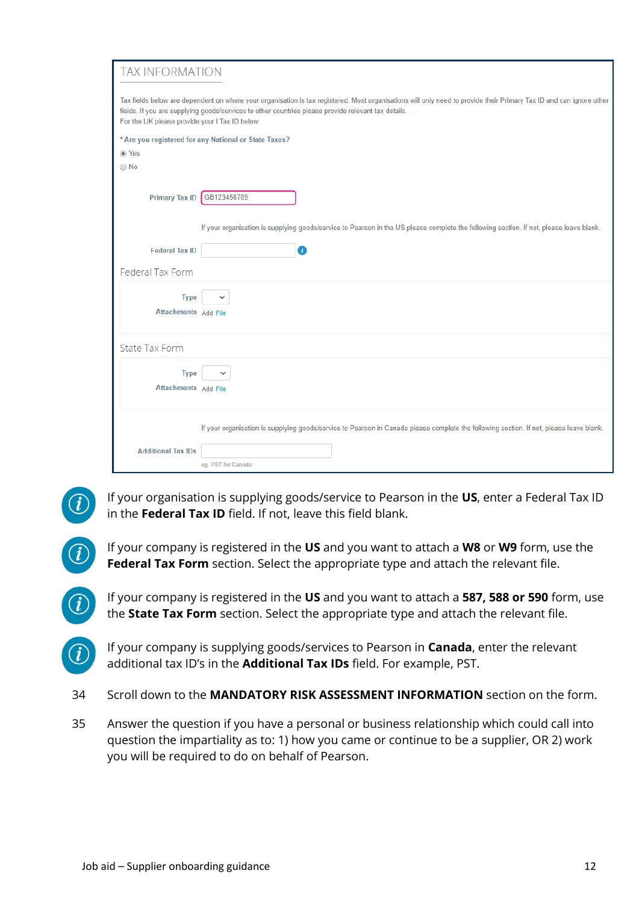| Tax fields below are dependent on where your organisation is tax registered. Most organisations will only need to provide their Primary Tax ID and can ignore other<br>fields. If you are supplying goods/services to other countries please provide relevant tax details.<br>For the UK please provide your I Tax ID below:<br>* Are you registered for any National or State Taxes?<br>◉ Yes<br>$\bigcirc$ No<br><b>Primary Tax ID</b><br>GB123456789<br>If your organisation is supplying goods/service to Pearson in the US please complete the following section. If not, please leave blank.<br>➊<br><b>Federal Tax ID</b><br>Federal Tax Form<br><b>Type</b><br>Attachments Add File |
|---------------------------------------------------------------------------------------------------------------------------------------------------------------------------------------------------------------------------------------------------------------------------------------------------------------------------------------------------------------------------------------------------------------------------------------------------------------------------------------------------------------------------------------------------------------------------------------------------------------------------------------------------------------------------------------------|
|                                                                                                                                                                                                                                                                                                                                                                                                                                                                                                                                                                                                                                                                                             |
|                                                                                                                                                                                                                                                                                                                                                                                                                                                                                                                                                                                                                                                                                             |
|                                                                                                                                                                                                                                                                                                                                                                                                                                                                                                                                                                                                                                                                                             |
|                                                                                                                                                                                                                                                                                                                                                                                                                                                                                                                                                                                                                                                                                             |
|                                                                                                                                                                                                                                                                                                                                                                                                                                                                                                                                                                                                                                                                                             |
|                                                                                                                                                                                                                                                                                                                                                                                                                                                                                                                                                                                                                                                                                             |
|                                                                                                                                                                                                                                                                                                                                                                                                                                                                                                                                                                                                                                                                                             |
|                                                                                                                                                                                                                                                                                                                                                                                                                                                                                                                                                                                                                                                                                             |
|                                                                                                                                                                                                                                                                                                                                                                                                                                                                                                                                                                                                                                                                                             |
| <b>State Tax Form</b>                                                                                                                                                                                                                                                                                                                                                                                                                                                                                                                                                                                                                                                                       |
| <b>Type</b><br>Attachments Add File                                                                                                                                                                                                                                                                                                                                                                                                                                                                                                                                                                                                                                                         |
| If your organisation is supplying goods/service to Pearson in Canada please complete the following section. If not, please leave blank.                                                                                                                                                                                                                                                                                                                                                                                                                                                                                                                                                     |
| <b>Additional Tax IDs</b>                                                                                                                                                                                                                                                                                                                                                                                                                                                                                                                                                                                                                                                                   |
| eg. PST for Canada                                                                                                                                                                                                                                                                                                                                                                                                                                                                                                                                                                                                                                                                          |

If your organisation is supplying goods/service to Pearson in the **US**, enter a Federal Tax ID in the **Federal Tax ID** field. If not, leave this field blank.



If your company is registered in the **US** and you want to attach a **W8** or **W9** form, use the **Federal Tax Form** section. Select the appropriate type and attach the relevant file.

If your company is registered in the **US** and you want to attach a **587, 588 or 590** form, use the **State Tax Form** section. Select the appropriate type and attach the relevant file.

- If your company is supplying goods/services to Pearson in **Canada**, enter the relevant additional tax ID's in the **Additional Tax IDs** field. For example, PST.
- 34 Scroll down to the **MANDATORY RISK ASSESSMENT INFORMATION** section on the form.
- 35 Answer the question if you have a personal or business relationship which could call into question the impartiality as to: 1) how you came or continue to be a supplier, OR 2) work you will be required to do on behalf of Pearson.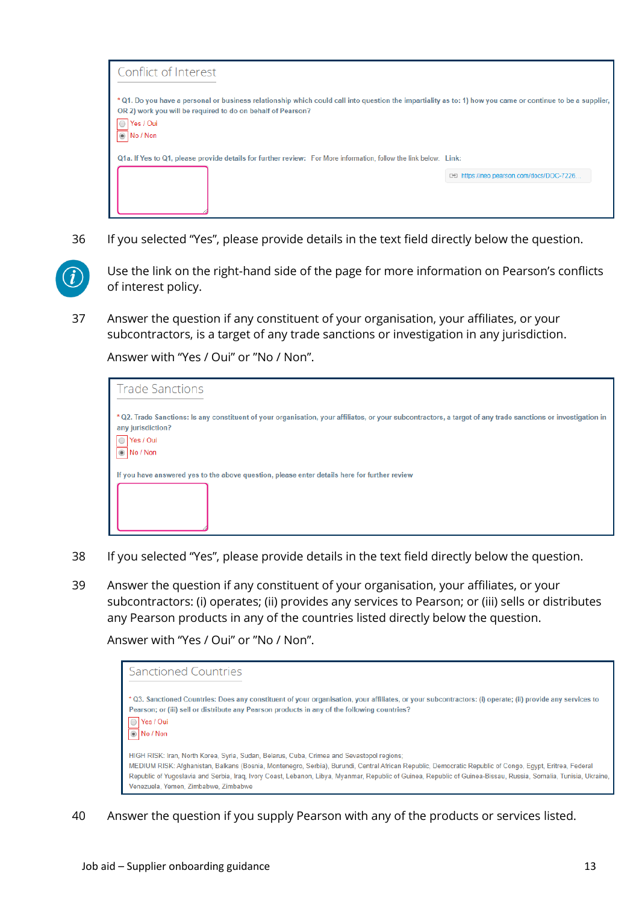| Conflict of Interest                                                                                                                                                                                                                                                    |                                           |  |  |  |
|-------------------------------------------------------------------------------------------------------------------------------------------------------------------------------------------------------------------------------------------------------------------------|-------------------------------------------|--|--|--|
| * Q1. Do you have a personal or business relationship which could call into question the impartiality as to: 1) how you came or continue to be a supplier,<br>OR 2) work you will be required to do on behalf of Pearson?<br>◯ Yes / Oui<br>$\overline{\circ}$ No / Non |                                           |  |  |  |
| Q1a. If Yes to Q1, please provide details for further review: For More information, follow the link below. Link:                                                                                                                                                        |                                           |  |  |  |
|                                                                                                                                                                                                                                                                         | c-a https://neo.pearson.com/docs/DOC-7226 |  |  |  |
|                                                                                                                                                                                                                                                                         |                                           |  |  |  |

36 If you selected "Yes", please provide details in the text field directly below the question.



Use the link on the right-hand side of the page for more information on Pearson's conflicts of interest policy.

37 Answer the question if any constituent of your organisation, your affiliates, or your subcontractors, is a target of any trade sanctions or investigation in any jurisdiction.

Answer with "Yes / Oui" or "No / Non".

| <b>Trade Sanctions</b>                                                                                                                                                                                                                     |
|--------------------------------------------------------------------------------------------------------------------------------------------------------------------------------------------------------------------------------------------|
| * Q2. Trade Sanctions: Is any constituent of your organisation, your affiliates, or your subcontractors, a target of any trade sanctions or investigation in<br>any jurisdiction?<br>Yes / Oui<br>$\bigcirc$<br>$\circledcirc$<br>No / Non |
| If you have answered yes to the above question, please enter details here for further review                                                                                                                                               |
|                                                                                                                                                                                                                                            |

- 38 If you selected "Yes", please provide details in the text field directly below the question.
- 39 Answer the question if any constituent of your organisation, your affiliates, or your subcontractors: (i) operates; (ii) provides any services to Pearson; or (iii) sells or distributes any Pearson products in any of the countries listed directly below the question.

Answer with "Yes / Oui" or "No / Non".



40 Answer the question if you supply Pearson with any of the products or services listed.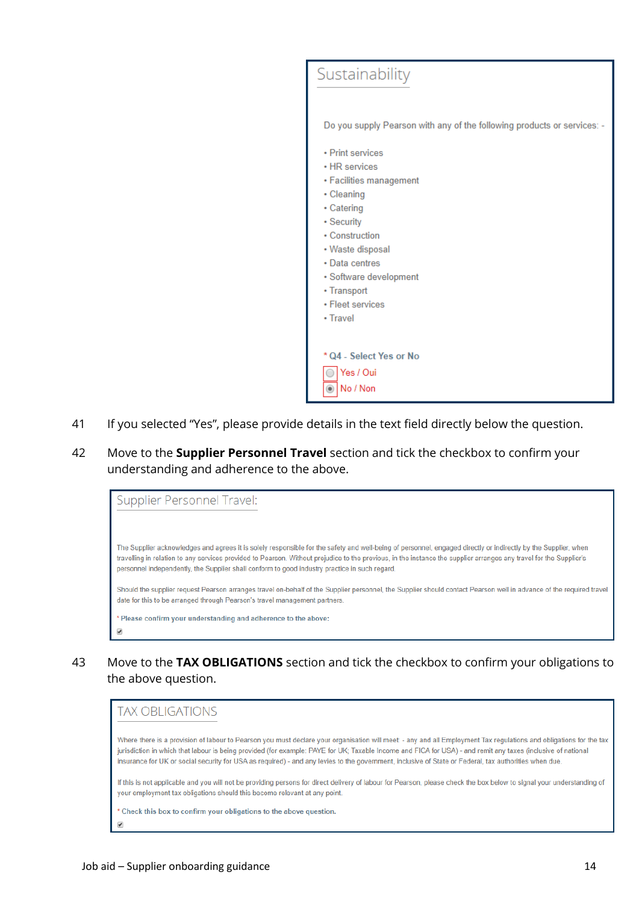

- 41 If you selected "Yes", please provide details in the text field directly below the question.
- 42 Move to the **Supplier Personnel Travel** section and tick the checkbox to confirm your understanding and adherence to the above.

Supplier Personnel Travel: The Supplier acknowledges and agrees it is solely responsible for the safety and well-being of personnel, engaged directly or indirectly by the Supplier, when travelling in relation to any services provided to Pearson. Without prejudice to the previous, in the instance the supplier arranges any travel for the Supplier's personnel independently, the Supplier shall conform to good industry practice in such regard. Should the supplier request Pearson arranges travel on-behalf of the Supplier personnel, the Supplier should contact Pearson well in advance of the required travel date for this to be arranged through Pearson's travel management partners. \* Please confirm your understanding and adherence to the above:

43 Move to the **TAX OBLIGATIONS** section and tick the checkbox to confirm your obligations to the above question.

# **TAX OBI IGATIONS**

Where there is a provision of labour to Pearson you must declare your organisation will meet: - any and all Employment Tax regulations and obligations for the tax jurisdiction in which that labour is being provided (for example: PAYE for UK; Taxable Income and FICA for USA) - and remit any taxes (inclusive of national insurance for UK or social security for USA as required) - and any levies to the government, inclusive of State or Federal, tax authorities when due.

If this is not applicable and you will not be providing persons for direct delivery of labour for Pearson, please check the box below to signal your understanding of your employment tax obligations should this become relevant at any point.

\* Check this box to confirm your obligations to the above question.

 $\overline{\mathcal{L}}$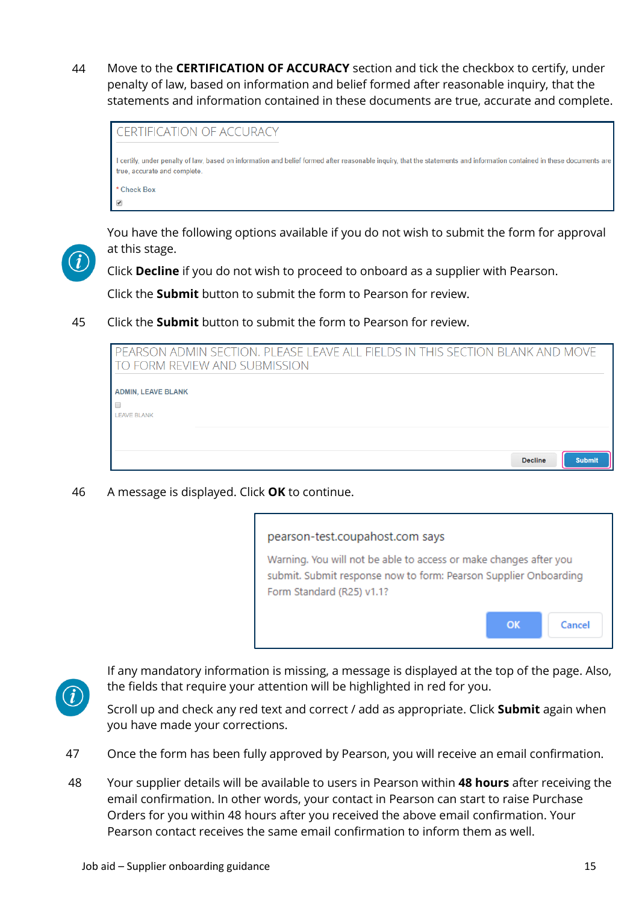44 Move to the **CERTIFICATION OF ACCURACY** section and tick the checkbox to certify, under penalty of law, based on information and belief formed after reasonable inquiry, that the statements and information contained in these documents are true, accurate and complete.



You have the following options available if you do not wish to submit the form for approval at this stage.

Click **Decline** if you do not wish to proceed to onboard as a supplier with Pearson.

Click the **Submit** button to submit the form to Pearson for review.

45 Click the **Submit** button to submit the form to Pearson for review.

| PEARSON ADMIN SECTION. PLEASE LEAVE ALL FIELDS IN THIS SECTION BLANK AND MOVE<br>TO FORM REVIEW AND SUBMISSION |  |  |
|----------------------------------------------------------------------------------------------------------------|--|--|
| <b>ADMIN, LEAVE BLANK</b><br><b>LEAVE BLANK</b>                                                                |  |  |
| <b>Decline</b><br><b>Submit</b>                                                                                |  |  |

46 A message is displayed. Click **OK** to continue.

# pearson-test.coupahost.com says

Warning. You will not be able to access or make changes after you submit. Submit response now to form: Pearson Supplier Onboarding Form Standard (R25) v1.1?

**OK** 

Cancel



If any mandatory information is missing, a message is displayed at the top of the page. Also, the fields that require your attention will be highlighted in red for you.

Scroll up and check any red text and correct / add as appropriate. Click **Submit** again when you have made your corrections.

- 47 Once the form has been fully approved by Pearson, you will receive an email confirmation.
- 48 Your supplier details will be available to users in Pearson within **48 hours** after receiving the email confirmation. In other words, your contact in Pearson can start to raise Purchase Orders for you within 48 hours after you received the above email confirmation. Your Pearson contact receives the same email confirmation to inform them as well.